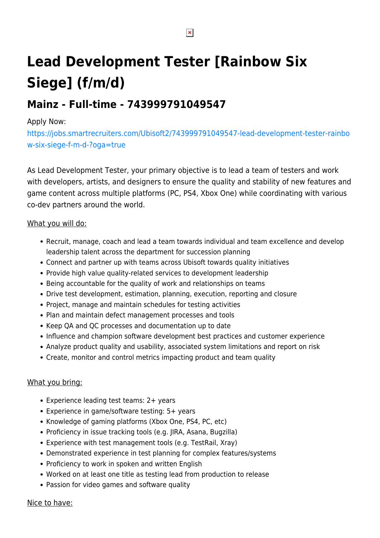# **Lead Development Tester [Rainbow Six Siege] (f/m/d)**

## **Mainz - Full-time - 743999791049547**

### Apply Now:

[https://jobs.smartrecruiters.com/Ubisoft2/743999791049547-lead-development-tester-rainbo](https://jobs.smartrecruiters.com/Ubisoft2/743999791049547-lead-development-tester-rainbow-six-siege-f-m-d-?oga=true) [w-six-siege-f-m-d-?oga=true](https://jobs.smartrecruiters.com/Ubisoft2/743999791049547-lead-development-tester-rainbow-six-siege-f-m-d-?oga=true)

As Lead Development Tester, your primary objective is to lead a team of testers and work with developers, artists, and designers to ensure the quality and stability of new features and game content across multiple platforms (PC, PS4, Xbox One) while coordinating with various co-dev partners around the world.

#### What you will do:

- Recruit, manage, coach and lead a team towards individual and team excellence and develop leadership talent across the department for succession planning
- Connect and partner up with teams across Ubisoft towards quality initiatives
- Provide high value quality-related services to development leadership
- Being accountable for the quality of work and relationships on teams
- Drive test development, estimation, planning, execution, reporting and closure
- Project, manage and maintain schedules for testing activities
- Plan and maintain defect management processes and tools
- Keep QA and QC processes and documentation up to date
- Influence and champion software development best practices and customer experience
- Analyze product quality and usability, associated system limitations and report on risk
- Create, monitor and control metrics impacting product and team quality

#### What you bring:

- Experience leading test teams: 2+ years
- Experience in game/software testing: 5+ years
- Knowledge of gaming platforms (Xbox One, PS4, PC, etc)
- Proficiency in issue tracking tools (e.g. JIRA, Asana, Bugzilla)
- Experience with test management tools (e.g. TestRail, Xray)
- Demonstrated experience in test planning for complex features/systems
- Proficiency to work in spoken and written English
- Worked on at least one title as testing lead from production to release
- Passion for video games and software quality

#### Nice to have:

 $\pmb{\times}$